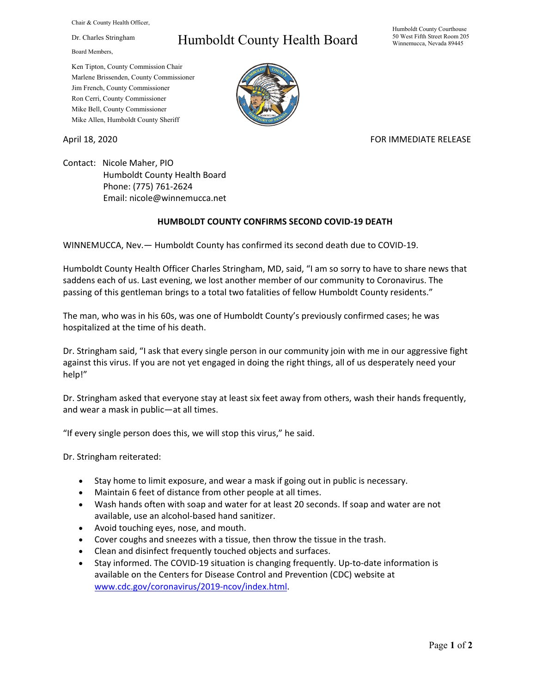Chair & County Health Officer,

Dr. Charles Stringham

Board Members,

## Humboldt County Health Board

Humboldt County Courthouse 50 West Fifth Street Room 205 Winnemucca, Nevada 89445

Ken Tipton, County Commission Chair Marlene Brissenden, County Commissioner Jim French, County Commissioner Ron Cerri, County Commissioner Mike Bell, County Commissioner Mike Allen, Humboldt County Sheriff

## April 18, 2020 **FOR IMMEDIATE RELEASE**

Contact: Nicole Maher, PIO Humboldt County Health Board Phone: (775) 761-2624 Email: nicole@winnemucca.net

## **HUMBOLDT COUNTY CONFIRMS SECOND COVID-19 DEATH**

WINNEMUCCA, Nev.— Humboldt County has confirmed its second death due to COVID-19.

Humboldt County Health Officer Charles Stringham, MD, said, "I am so sorry to have to share news that saddens each of us. Last evening, we lost another member of our community to Coronavirus. The passing of this gentleman brings to a total two fatalities of fellow Humboldt County residents."

The man, who was in his 60s, was one of Humboldt County's previously confirmed cases; he was hospitalized at the time of his death.

Dr. Stringham said, "I ask that every single person in our community join with me in our aggressive fight against this virus. If you are not yet engaged in doing the right things, all of us desperately need your help!"

Dr. Stringham asked that everyone stay at least six feet away from others, wash their hands frequently, and wear a mask in public—at all times.

"If every single person does this, we will stop this virus," he said.

Dr. Stringham reiterated:

- Stay home to limit exposure, and wear a mask if going out in public is necessary.
- Maintain 6 feet of distance from other people at all times.
- Wash hands often with soap and water for at least 20 seconds. If soap and water are not available, use an alcohol-based hand sanitizer.
- Avoid touching eyes, nose, and mouth.
- Cover coughs and sneezes with a tissue, then throw the tissue in the trash.
- Clean and disinfect frequently touched objects and surfaces.
- Stay informed. The COVID-19 situation is changing frequently. Up-to-date information is available on the Centers for Disease Control and Prevention (CDC) website at [www.cdc.gov/coronavirus/2019-ncov/index.html.](http://www.cdc.gov/coronavirus/2019-ncov/index.html)